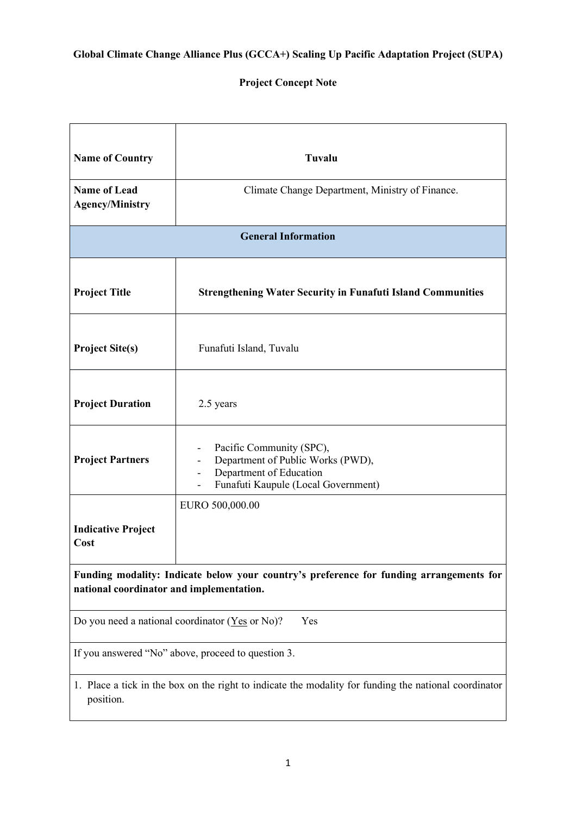## **Project Concept Note**

| <b>Name of Country</b>                                                                                                              | Tuvalu                                                                                                                                                      |  |  |  |
|-------------------------------------------------------------------------------------------------------------------------------------|-------------------------------------------------------------------------------------------------------------------------------------------------------------|--|--|--|
| <b>Name of Lead</b><br><b>Agency/Ministry</b>                                                                                       | Climate Change Department, Ministry of Finance.                                                                                                             |  |  |  |
| <b>General Information</b>                                                                                                          |                                                                                                                                                             |  |  |  |
| <b>Project Title</b>                                                                                                                | <b>Strengthening Water Security in Funafuti Island Communities</b>                                                                                          |  |  |  |
| <b>Project Site(s)</b>                                                                                                              | Funafuti Island, Tuvalu                                                                                                                                     |  |  |  |
| <b>Project Duration</b>                                                                                                             | 2.5 years                                                                                                                                                   |  |  |  |
| <b>Project Partners</b>                                                                                                             | Pacific Community (SPC),<br>Department of Public Works (PWD),<br>Department of Education<br>$\overline{\phantom{a}}$<br>Funafuti Kaupule (Local Government) |  |  |  |
| <b>Indicative Project</b><br>Cost                                                                                                   | EURO 500,000.00                                                                                                                                             |  |  |  |
| Funding modality: Indicate below your country's preference for funding arrangements for<br>national coordinator and implementation. |                                                                                                                                                             |  |  |  |
| Do you need a national coordinator ( $Yes$ or No)?<br>Yes                                                                           |                                                                                                                                                             |  |  |  |
| If you answered "No" above, proceed to question 3.                                                                                  |                                                                                                                                                             |  |  |  |
| 1. Place a tick in the box on the right to indicate the modality for funding the national coordinator<br>position.                  |                                                                                                                                                             |  |  |  |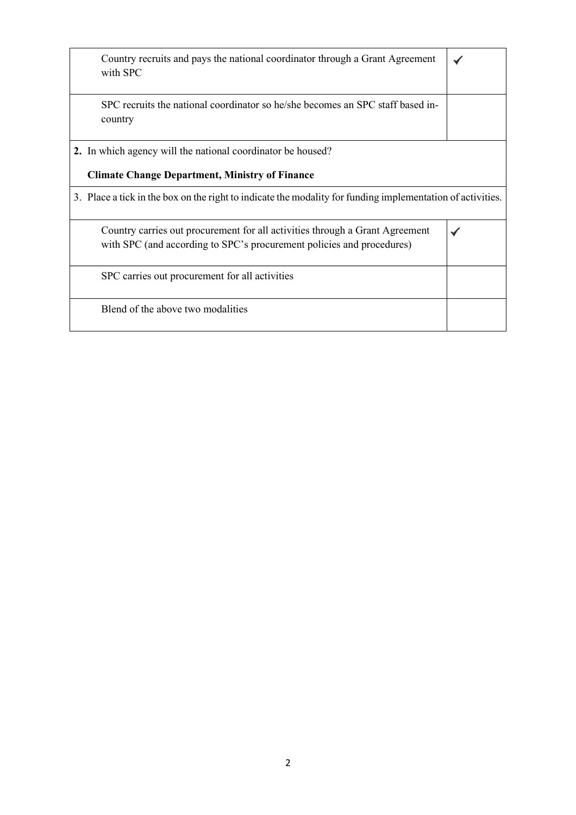| Country recruits and pays the national coordinator through a Grant Agreement                               |  |
|------------------------------------------------------------------------------------------------------------|--|
| with SPC                                                                                                   |  |
|                                                                                                            |  |
| SPC recruits the national coordinator so he/she becomes an SPC staff based in-                             |  |
|                                                                                                            |  |
| country                                                                                                    |  |
|                                                                                                            |  |
| 2. In which agency will the national coordinator be housed?                                                |  |
|                                                                                                            |  |
| <b>Climate Change Department, Ministry of Finance</b>                                                      |  |
|                                                                                                            |  |
| 3. Place a tick in the box on the right to indicate the modality for funding implementation of activities. |  |
|                                                                                                            |  |
| Country carries out procurement for all activities through a Grant Agreement                               |  |
|                                                                                                            |  |
| with SPC (and according to SPC's procurement policies and procedures)                                      |  |
|                                                                                                            |  |
| SPC carries out procurement for all activities                                                             |  |
|                                                                                                            |  |
|                                                                                                            |  |
| Blend of the above two modalities                                                                          |  |
|                                                                                                            |  |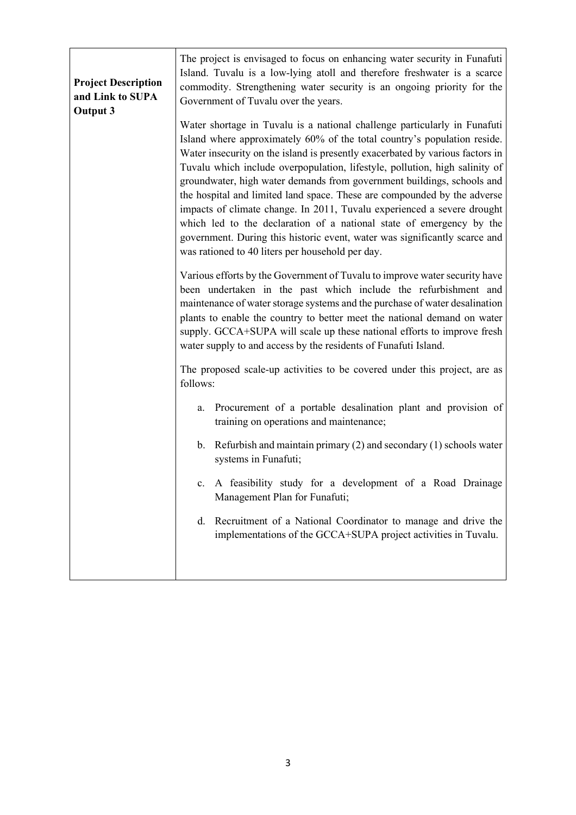| <b>Project Description</b><br>and Link to SUPA<br><b>Output 3</b> | The project is envisaged to focus on enhancing water security in Funafuti<br>Island. Tuvalu is a low-lying atoll and therefore freshwater is a scarce<br>commodity. Strengthening water security is an ongoing priority for the<br>Government of Tuvalu over the years.                                                                                                                                                                                                                                                                                                                                                                                                                                                                                          |
|-------------------------------------------------------------------|------------------------------------------------------------------------------------------------------------------------------------------------------------------------------------------------------------------------------------------------------------------------------------------------------------------------------------------------------------------------------------------------------------------------------------------------------------------------------------------------------------------------------------------------------------------------------------------------------------------------------------------------------------------------------------------------------------------------------------------------------------------|
|                                                                   | Water shortage in Tuvalu is a national challenge particularly in Funafuti<br>Island where approximately 60% of the total country's population reside.<br>Water insecurity on the island is presently exacerbated by various factors in<br>Tuvalu which include overpopulation, lifestyle, pollution, high salinity of<br>groundwater, high water demands from government buildings, schools and<br>the hospital and limited land space. These are compounded by the adverse<br>impacts of climate change. In 2011, Tuvalu experienced a severe drought<br>which led to the declaration of a national state of emergency by the<br>government. During this historic event, water was significantly scarce and<br>was rationed to 40 liters per household per day. |
|                                                                   | Various efforts by the Government of Tuvalu to improve water security have<br>been undertaken in the past which include the refurbishment and<br>maintenance of water storage systems and the purchase of water desalination<br>plants to enable the country to better meet the national demand on water<br>supply. GCCA+SUPA will scale up these national efforts to improve fresh<br>water supply to and access by the residents of Funafuti Island.                                                                                                                                                                                                                                                                                                           |
|                                                                   | The proposed scale-up activities to be covered under this project, are as<br>follows:                                                                                                                                                                                                                                                                                                                                                                                                                                                                                                                                                                                                                                                                            |
|                                                                   | Procurement of a portable desalination plant and provision of<br>a.<br>training on operations and maintenance;                                                                                                                                                                                                                                                                                                                                                                                                                                                                                                                                                                                                                                                   |
|                                                                   | b. Refurbish and maintain primary $(2)$ and secondary $(1)$ schools water<br>systems in Funafuti;                                                                                                                                                                                                                                                                                                                                                                                                                                                                                                                                                                                                                                                                |
|                                                                   | c. A feasibility study for a development of a Road Drainage<br>Management Plan for Funafuti;                                                                                                                                                                                                                                                                                                                                                                                                                                                                                                                                                                                                                                                                     |
|                                                                   | d. Recruitment of a National Coordinator to manage and drive the<br>implementations of the GCCA+SUPA project activities in Tuvalu.                                                                                                                                                                                                                                                                                                                                                                                                                                                                                                                                                                                                                               |
|                                                                   |                                                                                                                                                                                                                                                                                                                                                                                                                                                                                                                                                                                                                                                                                                                                                                  |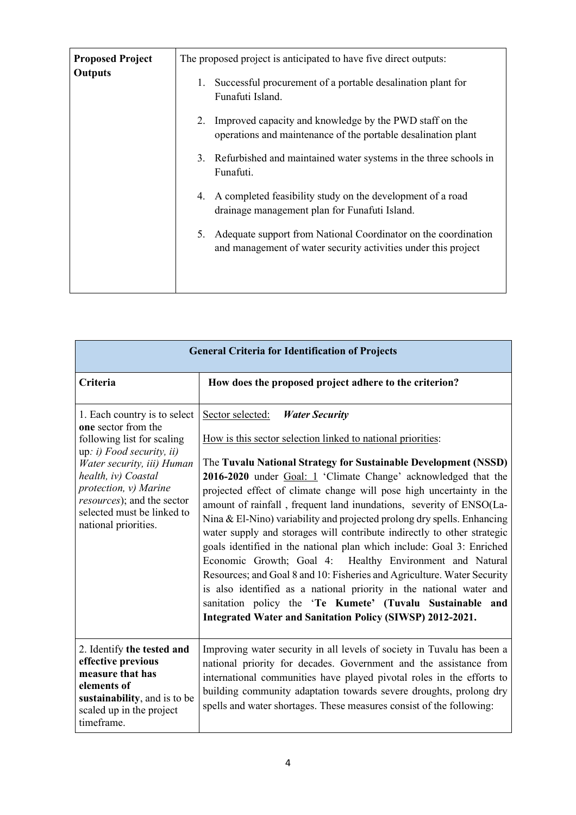| <b>Proposed Project</b><br><b>Outputs</b> | The proposed project is anticipated to have five direct outputs:<br>Successful procurement of a portable desalination plant for<br>1.<br>Funafuti Island. |  |
|-------------------------------------------|-----------------------------------------------------------------------------------------------------------------------------------------------------------|--|
|                                           | Improved capacity and knowledge by the PWD staff on the<br>2.<br>operations and maintenance of the portable desalination plant                            |  |
|                                           | Refurbished and maintained water systems in the three schools in<br>3.<br>Funafuti.                                                                       |  |
|                                           | A completed feasibility study on the development of a road<br>4.<br>drainage management plan for Funafuti Island.                                         |  |
|                                           | Adequate support from National Coordinator on the coordination<br>5.<br>and management of water security activities under this project                    |  |

| <b>General Criteria for Identification of Projects</b>                                                                                                                                                                                                                           |                                                                                                                                                                                                                                                                                                                                                                                                                                                                                                                                                                                                                                                                                                                                                                                                                                                                                                                                                                            |  |
|----------------------------------------------------------------------------------------------------------------------------------------------------------------------------------------------------------------------------------------------------------------------------------|----------------------------------------------------------------------------------------------------------------------------------------------------------------------------------------------------------------------------------------------------------------------------------------------------------------------------------------------------------------------------------------------------------------------------------------------------------------------------------------------------------------------------------------------------------------------------------------------------------------------------------------------------------------------------------------------------------------------------------------------------------------------------------------------------------------------------------------------------------------------------------------------------------------------------------------------------------------------------|--|
| Criteria                                                                                                                                                                                                                                                                         | How does the proposed project adhere to the criterion?                                                                                                                                                                                                                                                                                                                                                                                                                                                                                                                                                                                                                                                                                                                                                                                                                                                                                                                     |  |
| 1. Each country is to select<br>one sector from the<br>following list for scaling<br>up: i) Food security, ii)<br>Water security, iii) Human<br>health, iv) Coastal<br>protection, v) Marine<br>resources); and the sector<br>selected must be linked to<br>national priorities. | Sector selected:<br><b>Water Security</b><br>How is this sector selection linked to national priorities:<br>The Tuvalu National Strategy for Sustainable Development (NSSD)<br>2016-2020 under Goal: 1 'Climate Change' acknowledged that the<br>projected effect of climate change will pose high uncertainty in the<br>amount of rainfall, frequent land inundations, severity of ENSO(La-<br>Nina & El-Nino) variability and projected prolong dry spells. Enhancing<br>water supply and storages will contribute indirectly to other strategic<br>goals identified in the national plan which include: Goal 3: Enriched<br>Economic Growth; Goal 4: Healthy Environment and Natural<br>Resources; and Goal 8 and 10: Fisheries and Agriculture. Water Security<br>is also identified as a national priority in the national water and<br>sanitation policy the 'Te Kumete' (Tuvalu Sustainable and<br><b>Integrated Water and Sanitation Policy (SIWSP) 2012-2021.</b> |  |
| 2. Identify the tested and<br>effective previous<br>measure that has<br>elements of<br>sustainability, and is to be<br>scaled up in the project<br>timeframe.                                                                                                                    | Improving water security in all levels of society in Tuvalu has been a<br>national priority for decades. Government and the assistance from<br>international communities have played pivotal roles in the efforts to<br>building community adaptation towards severe droughts, prolong dry<br>spells and water shortages. These measures consist of the following:                                                                                                                                                                                                                                                                                                                                                                                                                                                                                                                                                                                                         |  |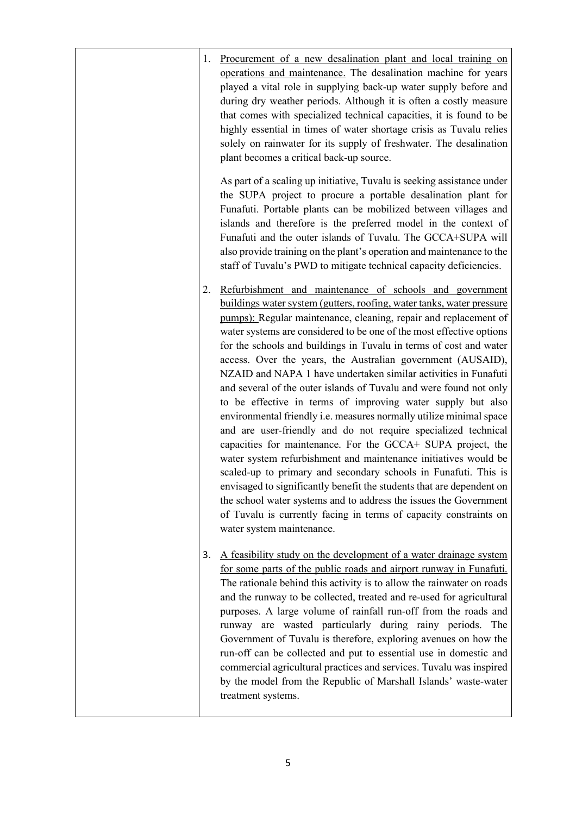| 1. | Procurement of a new desalination plant and local training on<br>operations and maintenance. The desalination machine for years<br>played a vital role in supplying back-up water supply before and<br>during dry weather periods. Although it is often a costly measure<br>that comes with specialized technical capacities, it is found to be<br>highly essential in times of water shortage crisis as Tuvalu relies<br>solely on rainwater for its supply of freshwater. The desalination<br>plant becomes a critical back-up source.                                                                                                                                                                                                                                                                                                                                                                                                                                                                                                                                                                                                                                                                                |
|----|-------------------------------------------------------------------------------------------------------------------------------------------------------------------------------------------------------------------------------------------------------------------------------------------------------------------------------------------------------------------------------------------------------------------------------------------------------------------------------------------------------------------------------------------------------------------------------------------------------------------------------------------------------------------------------------------------------------------------------------------------------------------------------------------------------------------------------------------------------------------------------------------------------------------------------------------------------------------------------------------------------------------------------------------------------------------------------------------------------------------------------------------------------------------------------------------------------------------------|
|    | As part of a scaling up initiative, Tuvalu is seeking assistance under<br>the SUPA project to procure a portable desalination plant for<br>Funafuti. Portable plants can be mobilized between villages and<br>islands and therefore is the preferred model in the context of<br>Funafuti and the outer islands of Tuvalu. The GCCA+SUPA will<br>also provide training on the plant's operation and maintenance to the<br>staff of Tuvalu's PWD to mitigate technical capacity deficiencies.                                                                                                                                                                                                                                                                                                                                                                                                                                                                                                                                                                                                                                                                                                                             |
| 2. | Refurbishment and maintenance of schools and government<br>buildings water system (gutters, roofing, water tanks, water pressure<br>pumps): Regular maintenance, cleaning, repair and replacement of<br>water systems are considered to be one of the most effective options<br>for the schools and buildings in Tuvalu in terms of cost and water<br>access. Over the years, the Australian government (AUSAID),<br>NZAID and NAPA 1 have undertaken similar activities in Funafuti<br>and several of the outer islands of Tuvalu and were found not only<br>to be effective in terms of improving water supply but also<br>environmental friendly i.e. measures normally utilize minimal space<br>and are user-friendly and do not require specialized technical<br>capacities for maintenance. For the GCCA+ SUPA project, the<br>water system refurbishment and maintenance initiatives would be<br>scaled-up to primary and secondary schools in Funafuti. This is<br>envisaged to significantly benefit the students that are dependent on<br>the school water systems and to address the issues the Government<br>of Tuvalu is currently facing in terms of capacity constraints on<br>water system maintenance. |
| 3. | A feasibility study on the development of a water drainage system<br>for some parts of the public roads and airport runway in Funafuti.<br>The rationale behind this activity is to allow the rainwater on roads<br>and the runway to be collected, treated and re-used for agricultural<br>purposes. A large volume of rainfall run-off from the roads and<br>runway are wasted particularly during rainy periods. The<br>Government of Tuvalu is therefore, exploring avenues on how the<br>run-off can be collected and put to essential use in domestic and<br>commercial agricultural practices and services. Tuvalu was inspired<br>by the model from the Republic of Marshall Islands' waste-water<br>treatment systems.                                                                                                                                                                                                                                                                                                                                                                                                                                                                                         |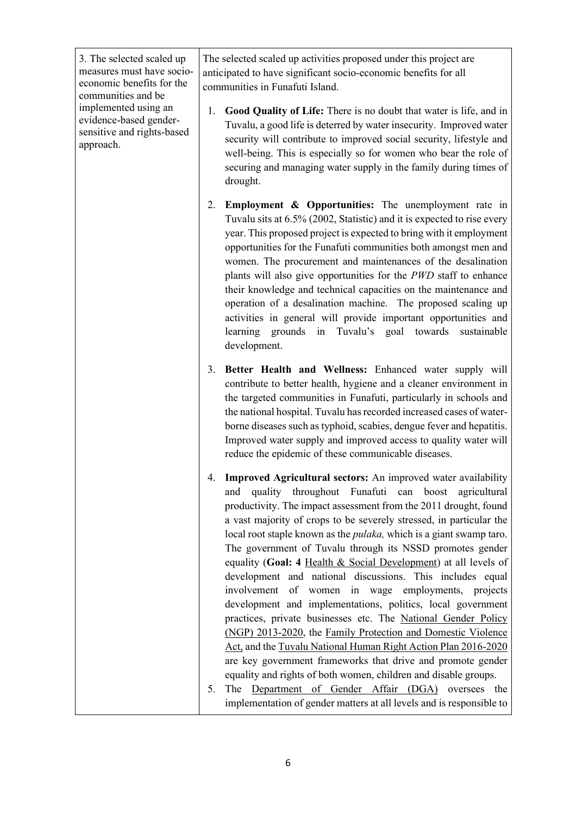3. The selected scaled up measures must have socioeconomic benefits for the communities and be implemented using an evidence-based gendersensitive and rights-based approach. The selected scaled up activities proposed under this project are anticipated to have significant socio-economic benefits for all communities in Funafuti Island. 1. **Good Quality of Life:** There is no doubt that water is life, and in Tuvalu, a good life is deterred by water insecurity. Improved water security will contribute to improved social security, lifestyle and well-being. This is especially so for women who bear the role of securing and managing water supply in the family during times of drought. 2. **Employment & Opportunities:** The unemployment rate in Tuvalu sits at 6.5% (2002, Statistic) and it is expected to rise every year. This proposed project is expected to bring with it employment opportunities for the Funafuti communities both amongst men and women. The procurement and maintenances of the desalination plants will also give opportunities for the *PWD* staff to enhance their knowledge and technical capacities on the maintenance and operation of a desalination machine. The proposed scaling up activities in general will provide important opportunities and learning grounds in Tuvalu's goal towards sustainable development. 3. **Better Health and Wellness:** Enhanced water supply will contribute to better health, hygiene and a cleaner environment in the targeted communities in Funafuti, particularly in schools and the national hospital. Tuvalu has recorded increased cases of waterborne diseases such as typhoid, scabies, dengue fever and hepatitis. Improved water supply and improved access to quality water will reduce the epidemic of these communicable diseases. 4. **Improved Agricultural sectors:** An improved water availability and quality throughout Funafuti can boost agricultural productivity. The impact assessment from the 2011 drought, found a vast majority of crops to be severely stressed, in particular the local root staple known as the *pulaka,* which is a giant swamp taro. The government of Tuvalu through its NSSD promotes gender equality (**Goal: 4** Health & Social Development) at all levels of development and national discussions. This includes equal involvement of women in wage employments, projects development and implementations, politics, local government practices, private businesses etc. The National Gender Policy (NGP) 2013-2020, the Family Protection and Domestic Violence Act, and the Tuvalu National Human Right Action Plan 2016-2020 are key government frameworks that drive and promote gender equality and rights of both women, children and disable groups. 5. The Department of Gender Affair (DGA) oversees the implementation of gender matters at all levels and is responsible to